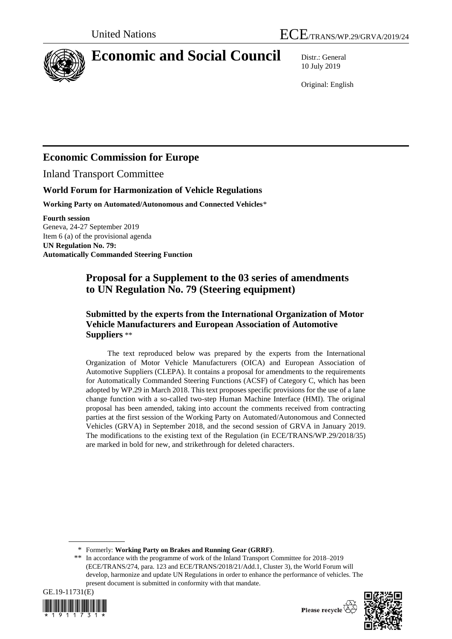

# **Economic and Social Council** Distr.: General

10 July 2019

Original: English

## **Economic Commission for Europe**

Inland Transport Committee

### **World Forum for Harmonization of Vehicle Regulations**

**Working Party on Automated/Autonomous and Connected Vehicles**\*

**Fourth session** Geneva, 24-27 September 2019 Item 6 (a) of the provisional agenda **UN Regulation No. 79: Automatically Commanded Steering Function**

### **Proposal for a Supplement to the 03 series of amendments to UN Regulation No. 79 (Steering equipment)**

### **Submitted by the experts from the International Organization of Motor Vehicle Manufacturers and European Association of Automotive Suppliers** \*\*

The text reproduced below was prepared by the experts from the International Organization of Motor Vehicle Manufacturers (OICA) and European Association of Automotive Suppliers (CLEPA). It contains a proposal for amendments to the requirements for Automatically Commanded Steering Functions (ACSF) of Category C, which has been adopted by WP.29 in March 2018. This text proposes specific provisions for the use of a lane change function with a so-called two-step Human Machine Interface (HMI). The original proposal has been amended, taking into account the comments received from contracting parties at the first session of the Working Party on Automated/Autonomous and Connected Vehicles (GRVA) in September 2018, and the second session of GRVA in January 2019. The modifications to the existing text of the Regulation (in ECE/TRANS/WP.29/2018/35) are marked in bold for new, and strikethrough for deleted characters.

<sup>\*\*</sup> In accordance with the programme of work of the Inland Transport Committee for 2018–2019 (ECE/TRANS/274, para. 123 and ECE/TRANS/2018/21/Add.1, Cluster 3), the World Forum will develop, harmonize and update UN Regulations in order to enhance the performance of vehicles. The present document is submitted in conformity with that mandate.





<sup>\*</sup> Formerly: **Working Party on Brakes and Running Gear (GRRF)**.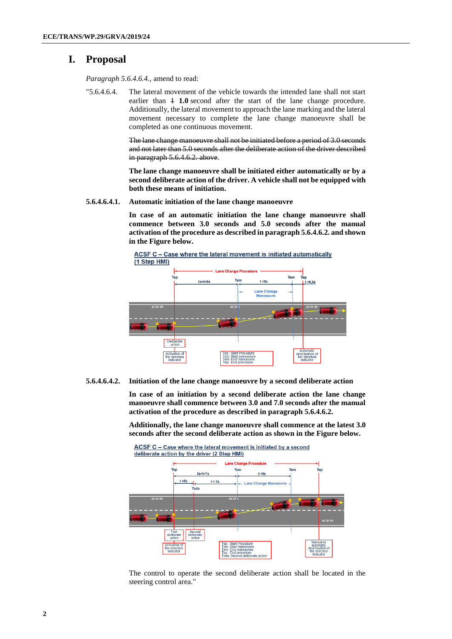### **I. Proposal**

*Paragraph 5.6.4.6.4.,* amend to read:

"5.6.4.6.4. The lateral movement of the vehicle towards the intended lane shall not start earlier than  $\pm$  1.0 second after the start of the lane change procedure. Additionally, the lateral movement to approach the lane marking and the lateral movement necessary to complete the lane change manoeuvre shall be completed as one continuous movement.

> The lane change manoeuvre shall not be initiated before a period of 3.0 seconds and not later than 5.0 seconds after the deliberate action of the driver described in paragraph 5.6.4.6.2. above.

> **The lane change manoeuvre shall be initiated either automatically or by a second deliberate action of the driver. A vehicle shall not be equipped with both these means of initiation.**

**5.6.4.6.4.1. Automatic initiation of the lane change manoeuvre**

**In case of an automatic initiation the lane change manoeuvre shall commence between 3.0 seconds and 5.0 seconds after the manual activation of the procedure as described in paragraph 5.6.4.6.2. and shown in the Figure below.**



**5.6.4.6.4.2. Initiation of the lane change manoeuvre by a second deliberate action**

**In case of an initiation by a second deliberate action the lane change manoeuvre shall commence between 3.0 and 7.0 seconds after the manual activation of the procedure as described in paragraph 5.6.4.6.2.** 

**Additionally, the lane change manoeuvre shall commence at the latest 3.0 seconds after the second deliberate action as shown in the Figure below.**



ACSF C - Case where the lateral movement is initiated by a second

The control to operate the second deliberate action shall be located in the steering control area."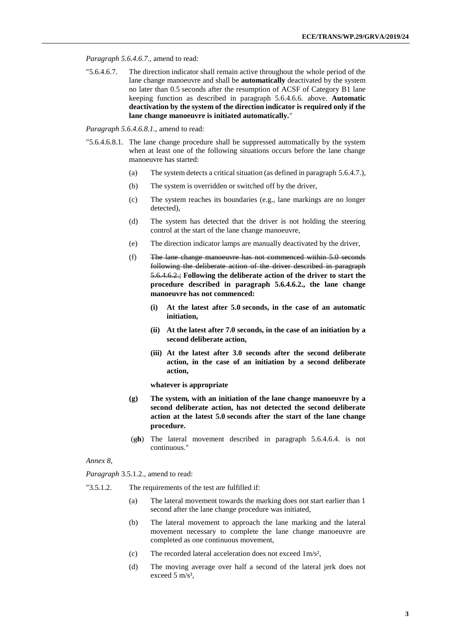*Paragraph 5.6.4.6.7.,* amend to read:

"5.6.4.6.7. The direction indicator shall remain active throughout the whole period of the lane change manoeuvre and shall be **automatically** deactivated by the system no later than 0.5 seconds after the resumption of ACSF of Category B1 lane keeping function as described in paragraph 5.6.4.6.6. above. **Automatic deactivation by the system of the direction indicator is required only if the lane change manoeuvre is initiated automatically.**"

*Paragraph 5.6.4.6.8.1.,* amend to read:

- "5.6.4.6.8.1. The lane change procedure shall be suppressed automatically by the system when at least one of the following situations occurs before the lane change manoeuvre has started:
	- (a) The system detects a critical situation (as defined in paragraph 5.6.4.7.),
	- (b) The system is overridden or switched off by the driver,
	- (c) The system reaches its boundaries (e.g., lane markings are no longer detected),
	- (d) The system has detected that the driver is not holding the steering control at the start of the lane change manoeuvre,
	- (e) The direction indicator lamps are manually deactivated by the driver,
	- (f) The lane change manoeuvre has not commenced within 5.0 seconds following the deliberate action of the driver described in paragraph 5.6.4.6.2.; **Following the deliberate action of the driver to start the procedure described in paragraph 5.6.4.6.2., the lane change manoeuvre has not commenced:** 
		- **(i) At the latest after 5.0 seconds, in the case of an automatic initiation,**
		- **(ii) At the latest after 7.0 seconds, in the case of an initiation by a second deliberate action,**
		- **(iii) At the latest after 3.0 seconds after the second deliberate action, in the case of an initiation by a second deliberate action,**

**whatever is appropriate**

- **(g) The system, with an initiation of the lane change manoeuvre by a second deliberate action, has not detected the second deliberate action at the latest 5.0 seconds after the start of the lane change procedure.**
- (g**h**) The lateral movement described in paragraph 5.6.4.6.4. is not continuous."

*Annex 8,*

*Paragraph* 3.5.1.2.*,* amend to read:

"3.5.1.2. The requirements of the test are fulfilled if:

- (a) The lateral movement towards the marking does not start earlier than 1 second after the lane change procedure was initiated,
- (b) The lateral movement to approach the lane marking and the lateral movement necessary to complete the lane change manoeuvre are completed as one continuous movement,
- (c) The recorded lateral acceleration does not exceed 1m/s²,
- (d) The moving average over half a second of the lateral jerk does not exceed  $5 \text{ m/s}^3$ .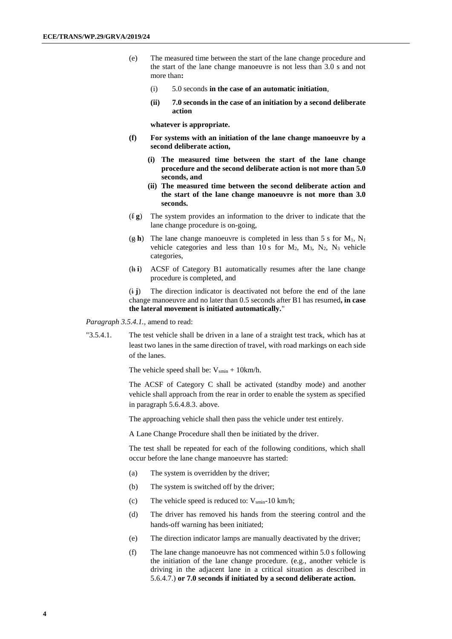- (e) The measured time between the start of the lane change procedure and the start of the lane change manoeuvre is not less than 3.0 s and not more than**:**
	- (i) 5.0 seconds **in the case of an automatic initiation**,
	- **(ii) 7.0 seconds in the case of an initiation by a second deliberate action**

**whatever is appropriate.**

- **(f) For systems with an initiation of the lane change manoeuvre by a second deliberate action,** 
	- **(i) The measured time between the start of the lane change procedure and the second deliberate action is not more than 5.0 seconds, and**
	- **(ii) The measured time between the second deliberate action and the start of the lane change manoeuvre is not more than 3.0 seconds.**
- (f **g**) The system provides an information to the driver to indicate that the lane change procedure is on-going,
- $(g \, h)$  The lane change manoeuvre is completed in less than 5 s for  $M_1$ ,  $N_1$ vehicle categories and less than 10 s for  $M_2$ ,  $M_3$ ,  $N_2$ ,  $N_3$  vehicle categories,
- (h **i**) ACSF of Category B1 automatically resumes after the lane change procedure is completed, and

(i **j**) The direction indicator is deactivated not before the end of the lane change manoeuvre and no later than 0.5 seconds after B1 has resumed**, in case the lateral movement is initiated automatically.**"

*Paragraph 3.5.4.1.,* amend to read:

"3.5.4.1. The test vehicle shall be driven in a lane of a straight test track, which has at least two lanes in the same direction of travel, with road markings on each side of the lanes.

The vehicle speed shall be:  $V_{\text{smin}} + 10 \text{km/h}$ .

The ACSF of Category C shall be activated (standby mode) and another vehicle shall approach from the rear in order to enable the system as specified in paragraph 5.6.4.8.3. above.

The approaching vehicle shall then pass the vehicle under test entirely.

A Lane Change Procedure shall then be initiated by the driver.

The test shall be repeated for each of the following conditions, which shall occur before the lane change manoeuvre has started:

- (a) The system is overridden by the driver;
- (b) The system is switched off by the driver;
- (c) The vehicle speed is reduced to:  $V_{\text{smin}}$ -10 km/h;
- (d) The driver has removed his hands from the steering control and the hands-off warning has been initiated;
- (e) The direction indicator lamps are manually deactivated by the driver;
- (f) The lane change manoeuvre has not commenced within 5.0 s following the initiation of the lane change procedure. (e.g., another vehicle is driving in the adjacent lane in a critical situation as described in 5.6.4.7.) **or 7.0 seconds if initiated by a second deliberate action.**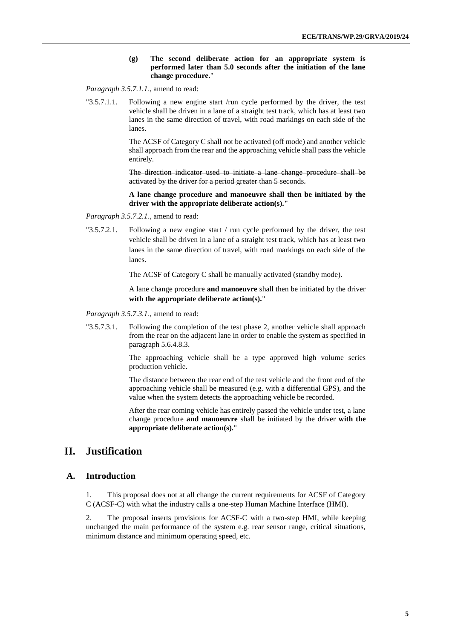#### **(g) The second deliberate action for an appropriate system is performed later than 5.0 seconds after the initiation of the lane change procedure.**"

*Paragraph 3.5.7.1.1*.*,* amend to read:

"3.5.7.1.1. Following a new engine start /run cycle performed by the driver, the test vehicle shall be driven in a lane of a straight test track, which has at least two lanes in the same direction of travel, with road markings on each side of the lanes.

> The ACSF of Category C shall not be activated (off mode) and another vehicle shall approach from the rear and the approaching vehicle shall pass the vehicle entirely.

> The direction indicator used to initiate a lane change procedure shall be activated by the driver for a period greater than 5 seconds.

> **A lane change procedure and manoeuvre shall then be initiated by the driver with the appropriate deliberate action(s)."**

*Paragraph 3.5.7.2.1*.*,* amend to read:

"3.5.7.2.1. Following a new engine start / run cycle performed by the driver, the test vehicle shall be driven in a lane of a straight test track, which has at least two lanes in the same direction of travel, with road markings on each side of the lanes.

The ACSF of Category C shall be manually activated (standby mode).

A lane change procedure **and manoeuvre** shall then be initiated by the driver **with the appropriate deliberate action(s).**"

*Paragraph 3.5.7.3.1*.*,* amend to read:

"3.5.7.3.1. Following the completion of the test phase 2, another vehicle shall approach from the rear on the adjacent lane in order to enable the system as specified in paragraph 5.6.4.8.3.

> The approaching vehicle shall be a type approved high volume series production vehicle.

> The distance between the rear end of the test vehicle and the front end of the approaching vehicle shall be measured (e.g. with a differential GPS), and the value when the system detects the approaching vehicle be recorded.

> After the rear coming vehicle has entirely passed the vehicle under test, a lane change procedure **and manoeuvre** shall be initiated by the driver **with the appropriate deliberate action(s)***.*"

### **II. Justification**

### **A. Introduction**

1. This proposal does not at all change the current requirements for ACSF of Category C (ACSF-C) with what the industry calls a one-step Human Machine Interface (HMI).

2. The proposal inserts provisions for ACSF-C with a two-step HMI, while keeping unchanged the main performance of the system e.g. rear sensor range, critical situations, minimum distance and minimum operating speed, etc.